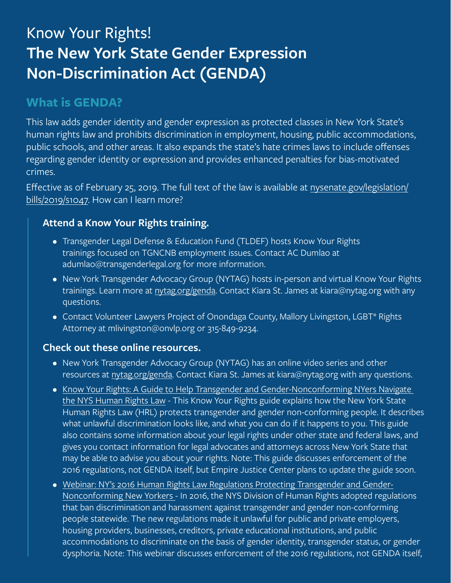# Know Your Rights! **The New York State Gender Expression Non-Discrimination Act (GENDA)**

# **What is GENDA?**

This law adds gender identity and gender expression as protected classes in New York State's human rights law and prohibits discrimination in employment, housing, public accommodations, public schools, and other areas. It also expands the state's hate crimes laws to include offenses regarding gender identity or expression and provides enhanced penalties for bias-motivated crimes.

Effective as of February 25, 2019. The full text of the law is available at [nysenate.gov/legislation/](http:// nysenate.gov/legislation/bills/2019/s1047. ) [bills/2019/s1047. How can I learn more?](http:// nysenate.gov/legislation/bills/2019/s1047. )

## **Attend a Know Your Rights training.**

- Transgender Legal Defense & Education Fund (TLDEF) hosts Know Your Rights trainings focused on TGNCNB employment issues. Contact AC Dumlao at adumlao@transgenderlegal.org for more information.
- New York Transgender Advocacy Group (NYTAG) hosts in-person and virtual Know Your Rights trainings. Learn more at [nytag.org/genda.](http://nytag.org/genda) Contact Kiara St. James at kiara@nytag.org with any questions.
- Contact Volunteer Lawyers Project of Onondaga County, Mallory Livingston, LGBT\* Rights Attorney at mlivingston@onvlp.org or 315-849-9234.

### **Check out these online resources.**

- New York Transgender Advocacy Group (NYTAG) has an online video series and other resources at [nytag.org/genda.](http://nytag.org/genda) Contact Kiara St. James at kiara@nytag.org with any questions.
- [Know Your Rights: A Guide to Help Transgender and Gender-Nonconforming NYers Navigate](https://empirejustice.org/resources_post/4630/)  [the NYS Human Rights Law](https://empirejustice.org/resources_post/4630/) - This Know Your Rights guide explains how the New York State Human Rights Law (HRL) protects transgender and gender non-conforming people. It describes what unlawful discrimination looks like, and what you can do if it happens to you. This guide also contains some information about your legal rights under other state and federal laws, and gives you contact information for legal advocates and attorneys across New York State that may be able to advise you about your rights. Note: This guide discusses enforcement of the 2016 regulations, not GENDA itself, but Empire Justice Center plans to update the guide soon.
- [Webinar: NY's 2016 Human Rights Law Regulations Protecting Transgender and Gender-](https://empirejustice.org/training_post/nys-2016-human-rights-law-regulations-protecting-transgender-and-gender-nonconforming-new-yorkers/https://empirejustice.org/training_post/nys-2016-human-rights-law-regulations-protecting-transgender-and-gender-nonconforming-new-yorkers/)[Nonconforming New Yorkers -](https://empirejustice.org/training_post/nys-2016-human-rights-law-regulations-protecting-transgender-and-gender-nonconforming-new-yorkers/https://empirejustice.org/training_post/nys-2016-human-rights-law-regulations-protecting-transgender-and-gender-nonconforming-new-yorkers/) In 2016, the NYS Division of Human Rights adopted regulations that ban discrimination and harassment against transgender and gender non-conforming people statewide. The new regulations made it unlawful for public and private employers, housing providers, businesses, creditors, private educational institutions, and public accommodations to discriminate on the basis of gender identity, transgender status, or gender dysphoria. Note: This webinar discusses enforcement of the 2016 regulations, not GENDA itself,